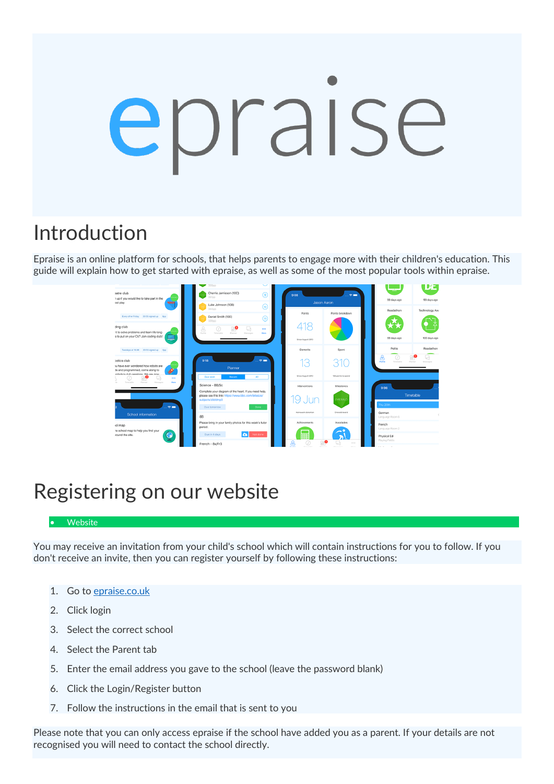# epraise

# Introduction

Epraise is an online platform for schools, that helps parents to engage more with their children's education. This guide will explain how to get started with epraise, as well as some of the most popular tools within epraise.



# Registering on our website

#### • Website

You may receive an invitation from your child's school which will contain instructions for you to follow. If you don't receive an invite, then you can register yourself by following these instructions:

- 1. Go to [epraise.co.uk](https://www.epraise.co.uk/)
- 2. Click login
- 3. Select the correct school
- 4. Select the Parent tab
- 5. Enter the email address you gave to the school (leave the password blank)
- 6. Click the Login/Register button
- 7. Follow the instructions in the email that is sent to you

Please note that you can only access epraise if the school have added you as a parent. If your details are not recognised you will need to contact the school directly.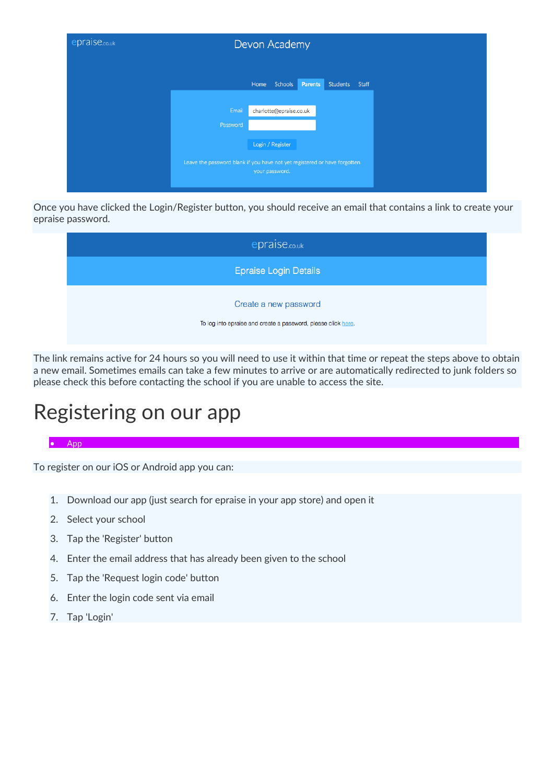

Once you have clicked the Login/Register button, you should receive an email that contains a link to create your epraise password.

| epraise.co.uk                                                                          |
|----------------------------------------------------------------------------------------|
| <b>Epraise Login Details</b>                                                           |
| Create a new password<br>To log into epraise and create a password, please click here. |

The link remains active for 24 hours so you will need to use it within that time or repeat the steps above to obtain a new email. Sometimes emails can take a few minutes to arrive or are automatically redirected to junk folders so please check this before contacting the school if you are unable to access the site.

## Registering on our app

#### • App

To register on our iOS or Android app you can:

- 1. Download our app (just search for epraise in your app store) and open it
- 2. Select your school
- 3. Tap the 'Register' button
- 4. Enter the email address that has already been given to the school
- 5. Tap the 'Request login code' button
- 6. Enter the login code sent via email
- 7. Tap 'Login'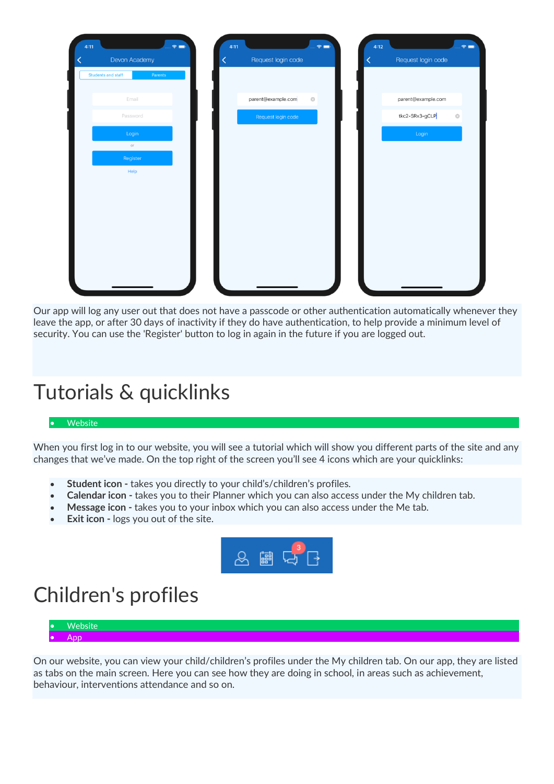| <b>Students and staff</b><br>Parents<br>parent@example.com<br>parent@example.com<br>Email<br>$_{\odot}$<br>tkc2-SRx3-gCLP<br>Password<br>$\odot$<br>Request login code<br>Login<br>Login<br>$\circlearrowright$<br>Register | Help | $\hat{\tau}$<br>4:11<br>Devon Academy | $\hat{\tau} =$<br>4:11<br>Request login code<br>K | 4:12<br>$\hat{z}$<br>Request login code |
|-----------------------------------------------------------------------------------------------------------------------------------------------------------------------------------------------------------------------------|------|---------------------------------------|---------------------------------------------------|-----------------------------------------|
|                                                                                                                                                                                                                             |      |                                       |                                                   |                                         |
|                                                                                                                                                                                                                             |      |                                       |                                                   |                                         |
|                                                                                                                                                                                                                             |      |                                       |                                                   |                                         |
|                                                                                                                                                                                                                             |      |                                       |                                                   |                                         |
|                                                                                                                                                                                                                             |      |                                       |                                                   |                                         |
|                                                                                                                                                                                                                             |      |                                       |                                                   |                                         |
|                                                                                                                                                                                                                             |      |                                       |                                                   |                                         |
|                                                                                                                                                                                                                             |      |                                       |                                                   |                                         |
|                                                                                                                                                                                                                             |      |                                       |                                                   |                                         |
|                                                                                                                                                                                                                             |      |                                       |                                                   |                                         |
|                                                                                                                                                                                                                             |      |                                       |                                                   |                                         |
|                                                                                                                                                                                                                             |      |                                       |                                                   |                                         |
|                                                                                                                                                                                                                             |      |                                       |                                                   |                                         |

Our app will log any user out that does not have a passcode or other authentication automatically whenever they leave the app, or after 30 days of inactivity if they do have authentication, to help provide a minimum level of security. You can use the 'Register' button to log in again in the future if you are logged out.

## Tutorials & quicklinks

#### **Website**

When you first log in to our website, you will see a tutorial which will show you different parts of the site and any changes that we've made. On the top right of the screen you'll see 4 icons which are your quicklinks:

- **Student icon -** takes you directly to your child's/children's profiles.
- **Calendar icon -** takes you to their Planner which you can also access under the My children tab.
- **Message icon -** takes you to your inbox which you can also access under the Me tab.
- **Exit icon -** logs you out of the site.



## Children's profiles



On our website, you can view your child/children's profiles under the My children tab. On our app, they are listed as tabs on the main screen. Here you can see how they are doing in school, in areas such as achievement, behaviour, interventions attendance and so on.